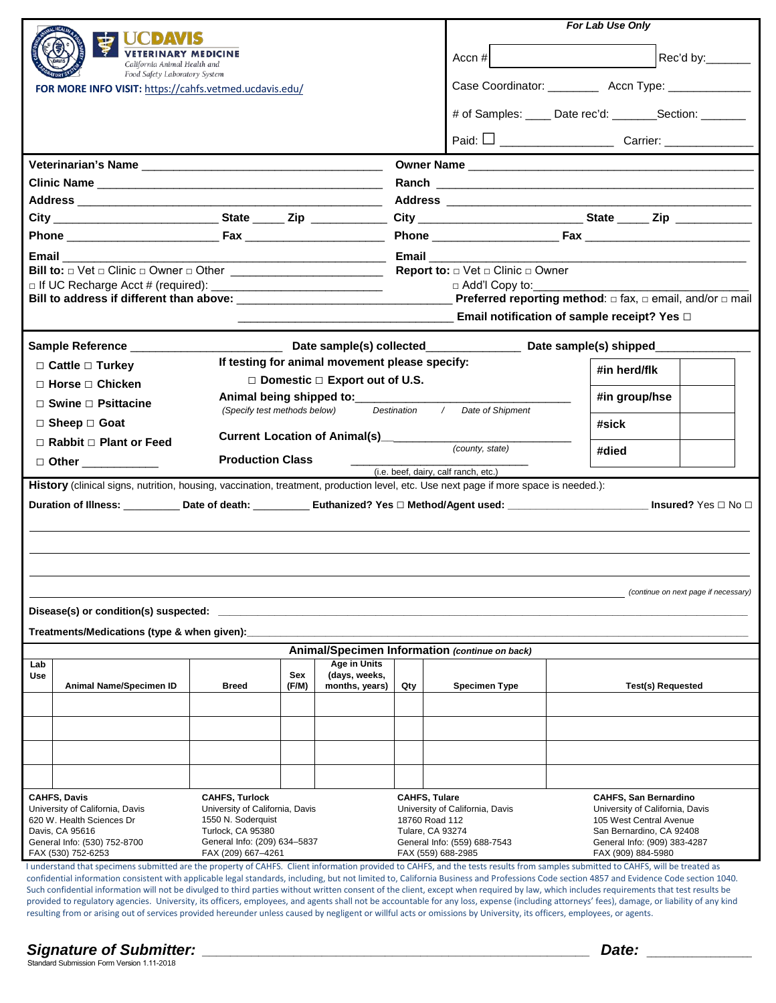| <b>VETERINARY MEDICINE</b><br>California Animal Health and<br>Food Safety Laboratory System<br>FOR MORE INFO VISIT: https://cahfs.vetmed.ucdavis.edu/                                                                                                                                                                                                                                                                                                                                     |                                                                                                                                                                                                                                           |                                                                   | For Lab Use Only<br>Rec'd by:_______<br>Accn $#$<br>Case Coordinator: ____________ Accn Type: _____________<br># of Samples: _____ Date rec'd: ________Section: _______                                                                                                                                                                                                                                                                                                      |                                                 |                              |  |  |  |
|-------------------------------------------------------------------------------------------------------------------------------------------------------------------------------------------------------------------------------------------------------------------------------------------------------------------------------------------------------------------------------------------------------------------------------------------------------------------------------------------|-------------------------------------------------------------------------------------------------------------------------------------------------------------------------------------------------------------------------------------------|-------------------------------------------------------------------|------------------------------------------------------------------------------------------------------------------------------------------------------------------------------------------------------------------------------------------------------------------------------------------------------------------------------------------------------------------------------------------------------------------------------------------------------------------------------|-------------------------------------------------|------------------------------|--|--|--|
| Email<br>Bill to: □ Vet □ Clinic □ Owner □ Other ____________________________                                                                                                                                                                                                                                                                                                                                                                                                             |                                                                                                                                                                                                                                           |                                                                   | <b>Report to:</b> $\Box$ Vet $\Box$ Clinic $\Box$ Owner<br>$\Box$ Add'l Copy to: ___________<br>Bill to address if different than above: vertex and the preferred reporting method: □ fax, □ email, and/or □ mail<br>Email notification of sample receipt? Yes $\Box$                                                                                                                                                                                                        |                                                 |                              |  |  |  |
| $\Box$ Cattle $\Box$ Turkey<br>$\Box$ Horse $\Box$ Chicken<br>$\Box$ Swine $\Box$ Psittacine<br>$\Box$ Sheep $\Box$ Goat<br>$\Box$ Rabbit $\Box$ Plant or Feed<br>□ Other <u>_________</u> __<br>History (clinical signs, nutrition, housing, vaccination, treatment, production level, etc. Use next page if more space is needed.):<br>Duration of Illness: ____________Date of death: _____________Euthanized? Yes □ Method/Agent used: ___________________________Insured? Yes □ No □ | If testing for animal movement please specify:<br>$\Box$ Domestic $\Box$ Export out of U.S.<br>Animal being shipped to:___________<br>(Specify test methods below)<br>Current Location of Animal(s)___________<br><b>Production Class</b> | Destination<br>$\sqrt{2}$<br>(i.e. beef, dairy, calf ranch, etc.) | Date of Shipment<br>(county, state)                                                                                                                                                                                                                                                                                                                                                                                                                                          | #in herd/flk<br>#in group/hse<br>#sick<br>#died |                              |  |  |  |
| (continue on next page if necessary)<br>Disease(s) or condition(s) suspected:<br>Treatments/Medications (type & when given):<br>Animal/Specimen Information (continue on back)<br>Age in Units<br>Lab<br>Sex<br>(days, weeks,<br><b>Use</b><br>Animal Name/Specimen ID<br>(F/M)<br>months, years)<br>Qty<br>Breed<br><b>Specimen Type</b><br>Test(s) Requested                                                                                                                            |                                                                                                                                                                                                                                           |                                                                   |                                                                                                                                                                                                                                                                                                                                                                                                                                                                              |                                                 |                              |  |  |  |
| <b>CAHFS, Davis</b>                                                                                                                                                                                                                                                                                                                                                                                                                                                                       |                                                                                                                                                                                                                                           |                                                                   | <b>CAHFS, Tulare</b>                                                                                                                                                                                                                                                                                                                                                                                                                                                         |                                                 | <b>CAHFS, San Bernardino</b> |  |  |  |
| <b>CAHFS, Turlock</b><br>University of California, Davis<br>University of California, Davis<br>620 W. Health Sciences Dr<br>1550 N. Soderquist<br>Davis, CA 95616<br>Turlock, CA 95380<br>General Info: (530) 752-8700<br>General Info: (209) 634-5837<br>FAX (530) 752-6253<br>FAX (209) 667-4261<br>I understand that specimens submitted are the property of CAHFS. Client information provided to CAHFS, and the tests results from samples submitted to CAHFS, will be treated as    |                                                                                                                                                                                                                                           |                                                                   | University of California, Davis<br>University of California, Davis<br>18760 Road 112<br>105 West Central Avenue<br><b>Tulare, CA 93274</b><br>San Bernardino, CA 92408<br>General Info: (559) 688-7543<br>General Info: (909) 383-4287<br>FAX (559) 688-2985<br>FAX (909) 884-5980<br>confidential information consistent with applicable legal standards, including but not limited to California Business and Professions Code section 4857 and Evidence Code section 1040 |                                                 |                              |  |  |  |

confidential information consistent with applicable legal standards, including, but not limited to, California Business and Professions Code section 4857 and Evidence Code section 1040. Such confidential information will not be divulged to third parties without written consent of the client, except when required by law, which includes requirements that test results be provided to regulatory agencies. University, its officers, employees, and agents shall not be accountable for any loss, expense (including attorneys' fees), damage, or liability of any kind resulting from or arising out of services provided hereunder unless caused by negligent or willful acts or omissions by University, its officers, employees, or agents.